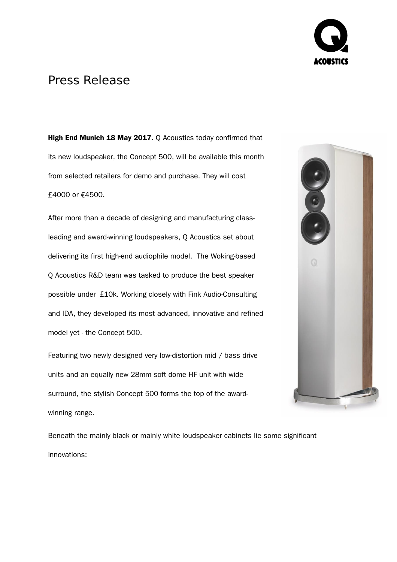

## Press Release

**High End Munich 18 May 2017.** Q Acoustics today confirmed that its new loudspeaker, the Concept 500, will be available this month from selected retailers for demo and purchase. They will cost £4000 or €4500.

After more than a decade of designing and manufacturing classleading and award-winning loudspeakers, Q Acoustics set about delivering its first high-end audiophile model. The Woking-based Q Acoustics R&D team was tasked to produce the best speaker possible under £10k. Working closely with Fink Audio-Consulting and IDA, they developed its most advanced, innovative and refined model yet - the Concept 500.

Featuring two newly designed very low-distortion mid / bass drive units and an equally new 28mm soft dome HF unit with wide surround, the stylish Concept 500 forms the top of the awardwinning range.



Beneath the mainly black or mainly white loudspeaker cabinets lie some significant innovations: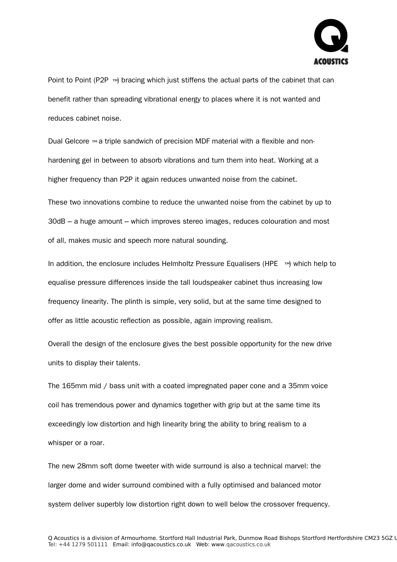

Point to Point (P2P  $\mathbb{M}$ ) bracing which just stiffens the actual parts of the cabinet that can benefit rather than spreading vibrational energy to places where it is not wanted and reduces cabinet noise.

Dual Gelcore ™a triple sandwich of precision MDF material with a flexible and nonhardening gel in between to absorb vibrations and turn them into heat. Working at a higher frequency than P2P it again reduces unwanted noise from the cabinet.

These two innovations combine to reduce the unwanted noise from the cabinet by up to 30dB – a huge amount – which improves stereo images, reduces colouration and most of all, makes music and speech more natural sounding.

In addition, the enclosure includes Helmholtz Pressure Equalisers (HPE  $\rightarrow$  which help to equalise pressure differences inside the tall loudspeaker cabinet thus increasing low frequency linearity. The plinth is simple, very solid, but at the same time designed to offer as little acoustic reflection as possible, again improving realism.

Overall the design of the enclosure gives the best possible opportunity for the new drive units to display their talents.

The 165mm mid / bass unit with a coated impregnated paper cone and a 35mm voice coil has tremendous power and dynamics together with grip but at the same time its exceedingly low distortion and high linearity bring the ability to bring realism to a whisper or a roar.

The new 28mm soft dome tweeter with wide surround is also a technical marvel: the larger dome and wider surround combined with a fully optimised and balanced motor system deliver superbly low distortion right down to well below the crossover frequency.